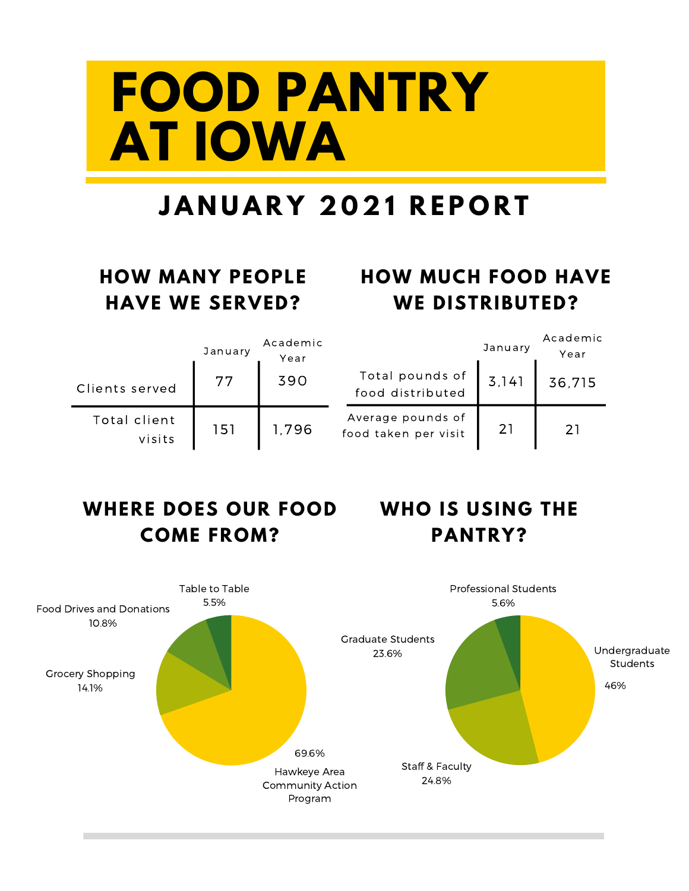# **FOOD PANTRY AT IOWA**

### **J A N U A R Y 2 0 2 1 R E P O R T**

#### **HOW MANY PEOPLE HAVE WE SERVED?**

#### **HOW MUCH FOOD HAVE WE DISTRIBUTED?**

|                        | January | Academic<br>Year |                                           | January | Academic<br>Year |
|------------------------|---------|------------------|-------------------------------------------|---------|------------------|
| Clients served         | 77      | 390              | Total pounds of<br>food distributed       | 3,141   | 36,715           |
| Total client<br>visits | 151     | 1.796            | Average pounds of<br>food taken per visit | 21      | 21               |

#### **WHERE DOES OUR FOOD WHO IS USING THE COME FROM?**

### **PANTRY?**

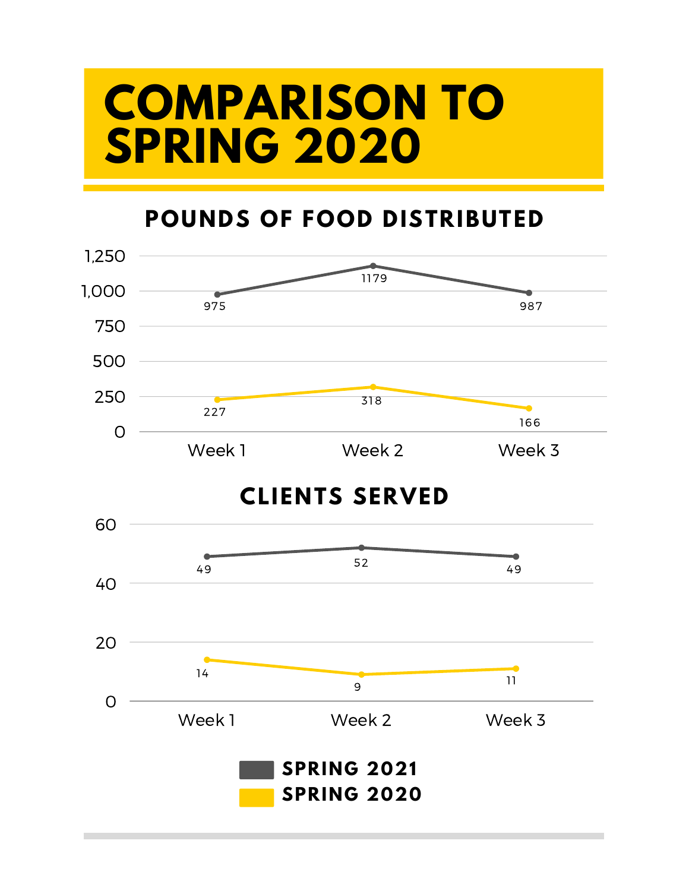### **COMPARISON TO SPRING 2020**

#### **POUNDS OF FOOD DISTRIBUTED**

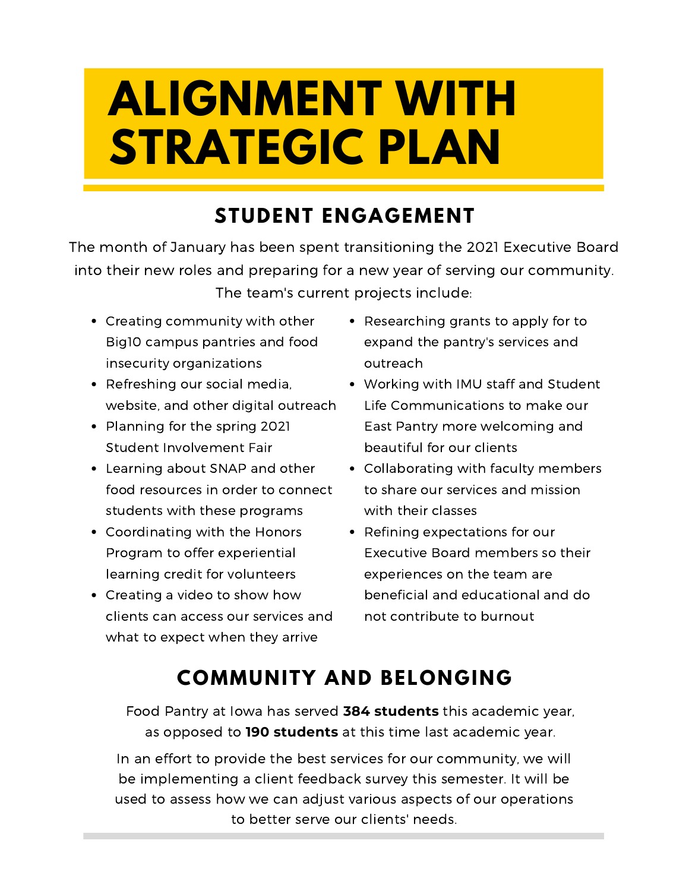# **ALIGNMENT WITH STRATEGIC PLAN**

#### **STUDENT ENGAGEMENT**

The month of January has been spent transitioning the 2021 Executive Board into their new roles and preparing for a new year of serving our community. The team's current projects include:

- Creating community with other Big10 campus pantries and food insecurity organizations
- Refreshing our social media, website, and other digital outreach
- Planning for the spring 2021 Student Involvement Fair
- Learning about SNAP and other food resources in order to connect students with these programs
- Coordinating with the Honors Program to offer experiential learning credit for volunteers
- Creating a video to show how clients can access our services and what to expect when they arrive
- Researching grants to apply for to expand the pantry's services and outreach
- Working with IMU staff and Student Life Communications to make our East Pantry more welcoming and beautiful for our clients
- Collaborating with faculty members to share our services and mission with their classes
- Refining expectations for our Executive Board members so their experiences on the team are beneficial and educational and do not contribute to burnout

#### **COMMUNITY AND BELONGING**

Food Pantry at Iowa has served **384 students** this academic year, as opposed to **190 students** at this time last academic year.

In an effort to provide the best services for our community, we will be implementing a client feedback survey this semester. It will be used to assess how we can adjust various aspects of our operations to better serve our clients' needs.